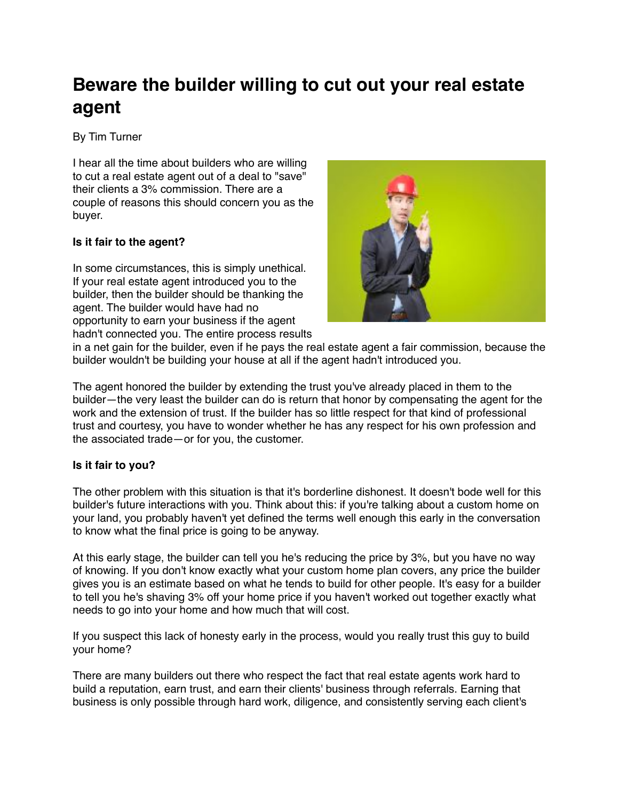## **Beware the builder willing to cut out your real estate agent**

By Tim Turner

I hear all the time about builders who are willing to cut a real estate agent out of a deal to "save" their clients a 3% commission. There are a couple of reasons this should concern you as the buyer.

## **Is it fair to the agent?**

In some circumstances, this is simply unethical. If your real estate agent introduced you to the builder, then the builder should be thanking the agent. The builder would have had no opportunity to earn your business if the agent hadn't connected you. The entire process results



in a net gain for the builder, even if he pays the real estate agent a fair commission, because the builder wouldn't be building your house at all if the agent hadn't introduced you.

The agent honored the builder by extending the trust you've already placed in them to the builder—the very least the builder can do is return that honor by compensating the agent for the work and the extension of trust. If the builder has so little respect for that kind of professional trust and courtesy, you have to wonder whether he has any respect for his own profession and the associated trade—or for you, the customer.

## **Is it fair to you?**

The other problem with this situation is that it's borderline dishonest. It doesn't bode well for this builder's future interactions with you. Think about this: if you're talking about a custom home on your land, you probably haven't yet defined the terms well enough this early in the conversation to know what the final price is going to be anyway.

At this early stage, the builder can tell you he's reducing the price by 3%, but you have no way of knowing. If you don't know exactly what your custom home plan covers, any price the builder gives you is an estimate based on what he tends to build for other people. It's easy for a builder to tell you he's shaving 3% off your home price if you haven't worked out together exactly what needs to go into your home and how much that will cost.

If you suspect this lack of honesty early in the process, would you really trust this guy to build your home?

There are many builders out there who respect the fact that real estate agents work hard to build a reputation, earn trust, and earn their clients' business through referrals. Earning that business is only possible through hard work, diligence, and consistently serving each client's